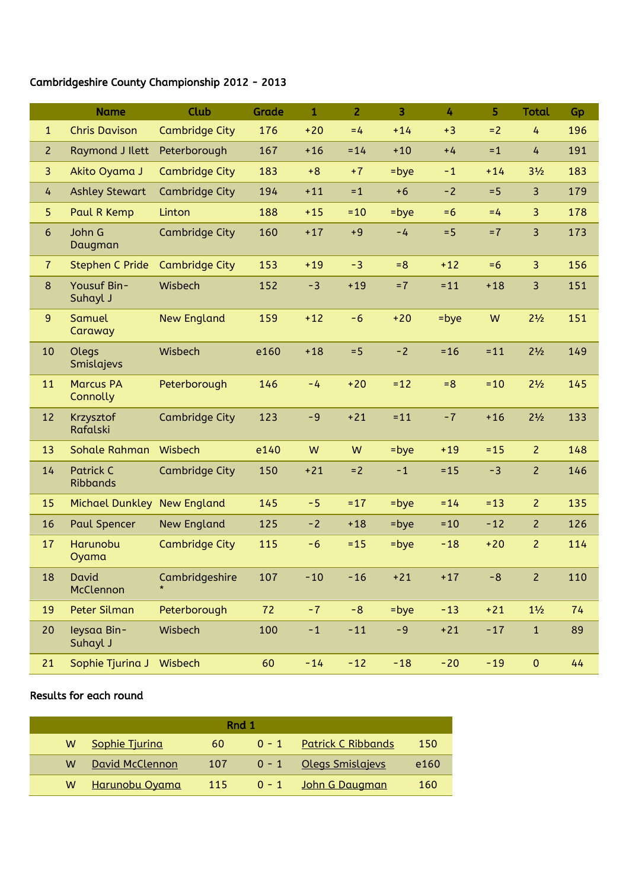## Cambridgeshire County Championship 2012 - 2013

|                | <b>Name</b>                         | Club                  | Grade | $\mathbf{1}$ | $\overline{2}$ | $\overline{3}$ | 4       | 5      | <b>Total</b>   | Gp  |
|----------------|-------------------------------------|-----------------------|-------|--------------|----------------|----------------|---------|--------|----------------|-----|
| $\mathbf{1}$   | <b>Chris Davison</b>                | <b>Cambridge City</b> | 176   | $+20$        | $=4$           | $+14$          | $+3$    | $= 2$  | 4              | 196 |
| $\overline{2}$ | Raymond J Ilett                     | Peterborough          | 167   | $+16$        | $= 14$         | $+10$          | $+4$    | $=1$   | 4              | 191 |
| $\overline{3}$ | Akito Oyama J                       | <b>Cambridge City</b> | 183   | $+8$         | $+7$           | $=$ bye        | $-1$    | $+14$  | $3\frac{1}{2}$ | 183 |
| 4              | <b>Ashley Stewart</b>               | <b>Cambridge City</b> | 194   | $+11$        | $=1$           | $+6$           | $-2$    | $= 5$  | $\overline{3}$ | 179 |
| 5              | Paul R Kemp                         | Linton                | 188   | $+15$        | $=10$          | $=$ bye        | $= 6$   | $=4$   | 3              | 178 |
| $6\phantom{a}$ | John G<br>Daugman                   | <b>Cambridge City</b> | 160   | $+17$        | $+9$           | $-4$           | $= 5$   | $=7$   | $\overline{3}$ | 173 |
| $\overline{7}$ | <b>Stephen C Pride</b>              | <b>Cambridge City</b> | 153   | $+19$        | $-3$           | $= 8$          | $+12$   | $=6$   | $\overline{3}$ | 156 |
| 8              | Yousuf Bin-<br>Suhayl J             | Wisbech               | 152   | $-3$         | $+19$          | $=7$           | $= 11$  | $+18$  | 3              | 151 |
| 9              | Samuel<br>Caraway                   | <b>New England</b>    | 159   | $+12$        | $-6$           | $+20$          | $=$ bye | W      | $2^{1/2}$      | 151 |
| 10             | Olegs<br>Smislajevs                 | Wisbech               | e160  | $+18$        | $= 5$          | $-2$           | $=16$   | $= 11$ | $2\frac{1}{2}$ | 149 |
| 11             | <b>Marcus PA</b><br>Connolly        | Peterborough          | 146   | $-4$         | $+20$          | $= 12$         | $= 8$   | $=10$  | $2\frac{1}{2}$ | 145 |
| 12             | Krzysztof<br>Rafalski               | <b>Cambridge City</b> | 123   | $-9$         | $+21$          | $= 11$         | $-7$    | $+16$  | $2^{1/2}$      | 133 |
| 13             | <b>Sohale Rahman</b>                | Wisbech               | e140  | W            | W              | $=$ bye        | $+19$   | $= 15$ | $\overline{2}$ | 148 |
| 14             | <b>Patrick C</b><br><b>Ribbands</b> | <b>Cambridge City</b> | 150   | $+21$        | $= 2$          | $-1$           | $= 15$  | $-3$   | $\overline{2}$ | 146 |
| 15             | Michael Dunkley New England         |                       | 145   | $-5$         | $=17$          | $=$ bye        | $= 14$  | $= 13$ | $\overline{2}$ | 135 |
| 16             | <b>Paul Spencer</b>                 | <b>New England</b>    | 125   | $-2$         | $+18$          | $=$ bye        | $=10$   | $-12$  | $\overline{2}$ | 126 |
| 17             | Harunobu<br>Oyama                   | <b>Cambridge City</b> | 115   | $-6$         | $= 15$         | $=$ bye        | $-18$   | $+20$  | $\overline{2}$ | 114 |
| 18             | David<br>McClennon                  | Cambridgeshire        | 107   | $-10$        | $-16$          | $+21$          | $+17$   | $-8$   | $\overline{2}$ | 110 |
| 19             | Peter Silman                        | Peterborough          | 72    | $-7$         | $-8$           | $=$ bye        | $-13$   | $+21$  | $1\frac{1}{2}$ | 74  |
| 20             | leysaa Bin-<br>Suhayl J             | Wisbech               | 100   | $-1$         | $-11$          | $-9$           | $+21$   | $-17$  | $1\,$          | 89  |
| 21             | Sophie Tjurina J                    | Wisbech               | 60    | $-14$        | $-12$          | $-18$          | $-20$   | $-19$  | $\mathbf 0$    | 44  |

## Results for each round

| Rnd 1 |                       |     |         |                            |      |  |  |  |  |
|-------|-----------------------|-----|---------|----------------------------|------|--|--|--|--|
| w     | <b>Sophie Tjuring</b> | 60  | $0 - 1$ | <u> Patrick C Ribbands</u> | 150  |  |  |  |  |
| W     | David McClennon       | 107 |         | 0 - 1 Olegs Smislajevs     | e160 |  |  |  |  |
| W     | Harunobu Oyama        | 115 |         | 0 - 1 John G Daugman       | 160  |  |  |  |  |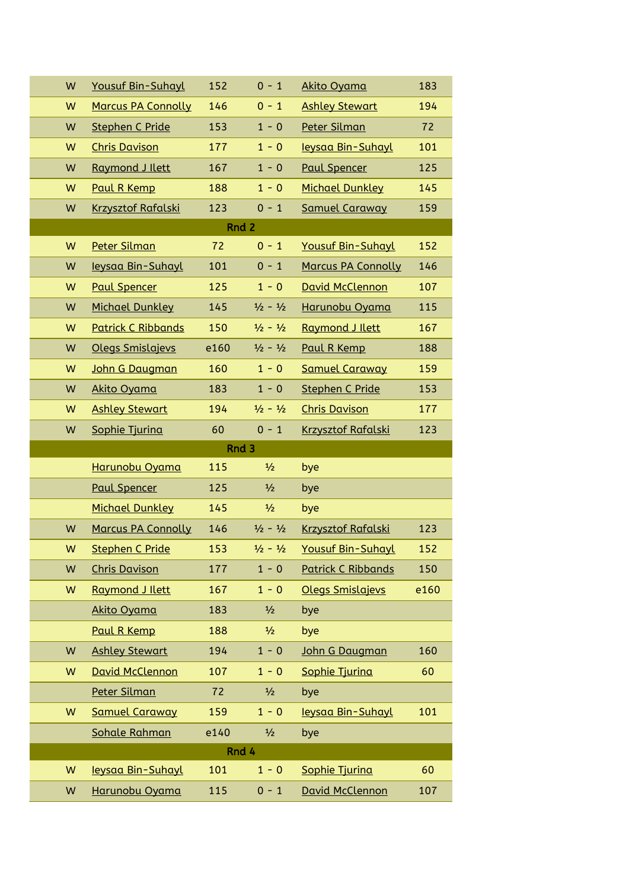| W     | <b>Yousuf Bin-Suhayl</b>  | 152  | $0 - 1$                     | Akito Oyama               | 183  |  |  |  |  |
|-------|---------------------------|------|-----------------------------|---------------------------|------|--|--|--|--|
| W     | <b>Marcus PA Connolly</b> | 146  | $0 - 1$                     | <b>Ashley Stewart</b>     | 194  |  |  |  |  |
| W     | <b>Stephen C Pride</b>    | 153  | $1 - 0$                     | Peter Silman              | 72   |  |  |  |  |
| W     | <b>Chris Davison</b>      | 177  | $1 - 0$                     | leysaa Bin-Suhayl         | 101  |  |  |  |  |
| W     | Raymond J Ilett           | 167  | $1 - 0$                     | <b>Paul Spencer</b>       | 125  |  |  |  |  |
| W     | Paul R Kemp               | 188  | $1 - 0$                     | <b>Michael Dunkley</b>    | 145  |  |  |  |  |
| W     | <b>Krzysztof Rafalski</b> | 123  | $0 - 1$                     | <b>Samuel Caraway</b>     | 159  |  |  |  |  |
| Rnd 2 |                           |      |                             |                           |      |  |  |  |  |
| W     | Peter Silman              | 72   | $0 - 1$                     | Yousuf Bin-Suhayl         | 152  |  |  |  |  |
| W     | leysaa Bin-Suhayl         | 101  | $0 - 1$                     | <b>Marcus PA Connolly</b> | 146  |  |  |  |  |
| W     | <b>Paul Spencer</b>       | 125  | $1 - 0$                     | David McClennon           | 107  |  |  |  |  |
| W     | <b>Michael Dunkley</b>    | 145  | $\frac{1}{2} - \frac{1}{2}$ | Harunobu Oyama            | 115  |  |  |  |  |
| W     | <b>Patrick C Ribbands</b> | 150  | $\frac{1}{2} - \frac{1}{2}$ | Raymond J Ilett           | 167  |  |  |  |  |
| W     | Olegs Smislajevs          | e160 | $\frac{1}{2} - \frac{1}{2}$ | Paul R Kemp               | 188  |  |  |  |  |
| W     | John G Daugman            | 160  | $1 - 0$                     | <b>Samuel Caraway</b>     | 159  |  |  |  |  |
| W     | Akito Oyama               | 183  | $1 - 0$                     | <b>Stephen C Pride</b>    | 153  |  |  |  |  |
| W     | <b>Ashley Stewart</b>     | 194  | $\frac{1}{2} - \frac{1}{2}$ | <b>Chris Davison</b>      | 177  |  |  |  |  |
| W     | Sophie Tjurina            | 60   | $0 - 1$                     | <b>Krzysztof Rafalski</b> | 123  |  |  |  |  |
| Rnd 3 |                           |      |                             |                           |      |  |  |  |  |
|       |                           |      |                             |                           |      |  |  |  |  |
|       | Harunobu Oyama            | 115  | $\frac{1}{2}$               | bye                       |      |  |  |  |  |
|       | <b>Paul Spencer</b>       | 125  | $\frac{1}{2}$               | bye                       |      |  |  |  |  |
|       | <b>Michael Dunkley</b>    | 145  | $\frac{1}{2}$               | bye                       |      |  |  |  |  |
| W     | <b>Marcus PA Connolly</b> | 146  | $\frac{1}{2} - \frac{1}{2}$ | <b>Krzysztof Rafalski</b> | 123  |  |  |  |  |
| W     | Stephen C Pride           | 153  | $\frac{1}{2} - \frac{1}{2}$ | <b>Yousuf Bin-Suhayl</b>  | 152  |  |  |  |  |
| W     | <b>Chris Davison</b>      | 177  | $1 - 0$                     | <b>Patrick C Ribbands</b> | 150  |  |  |  |  |
| W     | Raymond J Ilett           | 167  | $1 - 0$                     | Olegs Smislajevs          | e160 |  |  |  |  |
|       | Akito Oyama               | 183  | $\frac{1}{2}$               | bye                       |      |  |  |  |  |
|       | Paul R Kemp               | 188  | $\frac{1}{2}$               | bye                       |      |  |  |  |  |
| W     | <b>Ashley Stewart</b>     | 194  | $1 - 0$                     | John G Daugman            | 160  |  |  |  |  |
| W     | David McClennon           | 107  | $1 - 0$                     | Sophie Tjurina            | 60   |  |  |  |  |
|       | Peter Silman              | 72   | $\frac{1}{2}$               | bye                       |      |  |  |  |  |
| W     | <b>Samuel Caraway</b>     | 159  | $1 - 0$                     | leysaa Bin-Suhayl         | 101  |  |  |  |  |
|       | Sohale Rahman             | e140 | 1/2                         | bye                       |      |  |  |  |  |
|       |                           |      | Rnd 4                       |                           |      |  |  |  |  |
| W     | leysaa Bin-Suhayl         | 101  | $1 - 0$                     | Sophie Tjurina            | 60   |  |  |  |  |